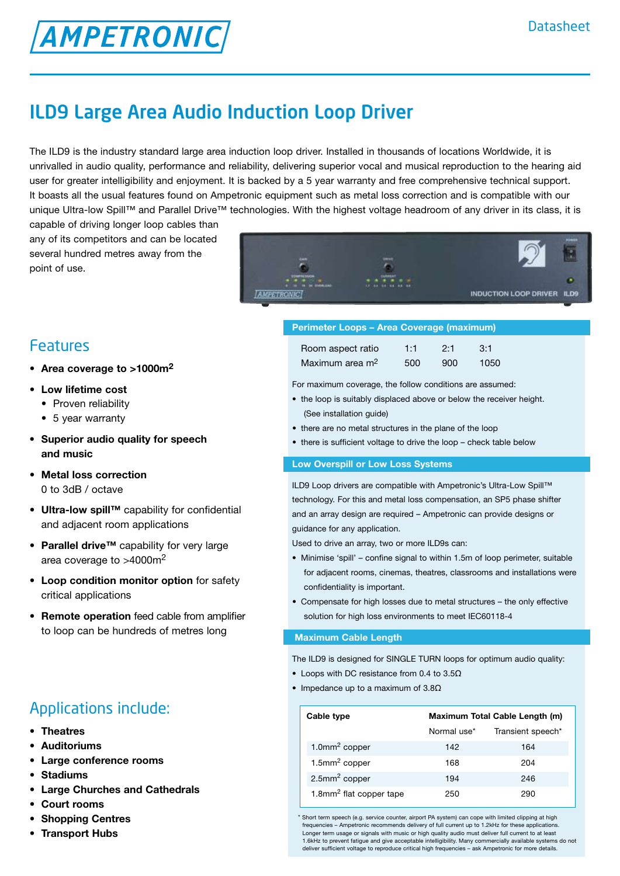# ILD9 Large Area Audio Induction Loop Driver

The ILD9 is the industry standard large area induction loop driver. Installed in thousands of locations Worldwide, it is unrivalled in audio quality, performance and reliability, delivering superior vocal and musical reproduction to the hearing aid user for greater intelligibility and enjoyment. It is backed by a 5 year warranty and free comprehensive technical support. It boasts all the usual features found on Ampetronic equipment such as metal loss correction and is compatible with our unique Ultra-low Spill™ and Parallel Drive™ technologies. With the highest voltage headroom of any driver in its class, it is

capable of driving longer loop cables than any of its competitors and can be located several hundred metres away from the point of use.

**AMPETRONIC** 

## Features

- **Area coverage to >1000m2**
- **Low lifetime cost** 
	- Proven reliability
	- 5 year warranty
- **• Superior audio quality for speech and music**
- **• Metal loss correction** 0 to 3dB / octave
- **• Ultra-low spill™** capability for confidential and adjacent room applications
- **• Parallel drive™** capability for very large area coverage to >4000m2
- **• Loop condition monitor option** for safety critical applications
- **• Remote operation** feed cable from amplifier to loop can be hundreds of metres long

# Applications include:

- **• Theatres**
- **• Auditoriums**
- **• Large conference rooms**
- **• Stadiums**
- **• Large Churches and Cathedrals**
- **• Court rooms**
- **• Shopping Centres**
- **• Transport Hubs**

| $-$                                                | m                                               |                            | ADMIS<br>٠ |
|----------------------------------------------------|-------------------------------------------------|----------------------------|------------|
| <b>USAMMENDON</b><br><b>6 10 10 In India, Lat.</b> | <b>CURRENT</b><br>$\cdots$<br>12 44 54 44 65 66 |                            |            |
|                                                    |                                                 | INDUCTION LOOP DRIVER ILD9 |            |
|                                                    |                                                 |                            |            |

### **Perimeter Loops – Area Coverage (maximum)**

| Room aspect ratio           | 1:1 | 2:1 | $-3:1$ |
|-----------------------------|-----|-----|--------|
| Maximum area m <sup>2</sup> | 500 | 900 | 1050   |

For maximum coverage, the follow conditions are assumed:

- the loop is suitably displaced above or below the receiver height. (See installation guide)
- there are no metal structures in the plane of the loop
- there is sufficient voltage to drive the loop check table below

### **Low Overspill or Low Loss Systems**

ILD9 Loop drivers are compatible with Ampetronic's Ultra-Low Spill™ technology. For this and metal loss compensation, an SP5 phase shifter and an array design are required – Ampetronic can provide designs or guidance for any application.

Used to drive an array, two or more ILD9s can:

- Minimise 'spill' confine signal to within 1.5m of loop perimeter, suitable for adjacent rooms, cinemas, theatres, classrooms and installations were confidentiality is important.
- Compensate for high losses due to metal structures the only effective solution for high loss environments to meet IEC60118-4

#### **Maximum Cable Length**

The ILD9 is designed for SINGLE TURN loops for optimum audio quality:

- Loops with DC resistance from 0.4 to 3.5Ω
- Impedance up to a maximum of 3.8Ω

| Cable type                          | Maximum Total Cable Length (m) |                   |
|-------------------------------------|--------------------------------|-------------------|
|                                     | Normal use*                    | Transient speech* |
| 1.0mm <sup>2</sup> copper           | 142                            | 164               |
| $1.5$ mm <sup>2</sup> copper        | 168                            | 204               |
| $2.5$ mm <sup>2</sup> copper        | 194                            | 246               |
| 1.8mm <sup>2</sup> flat copper tape | 250                            | 290               |

\* Short term speech (e.g. service counter, airport PA system) can cope with limited clipping at high frequencies – Ampetronic recommends delivery of full current up to 1.2kHz for these applications. Longer term usage or signals with music or high quality audio must deliver full current to at least 1.6kHz to prevent fatigue and give acceptable intelligibility. Many commercially available systems do not deliver sufficient voltage to reproduce critical high frequencies – ask Ampetronic for more details.